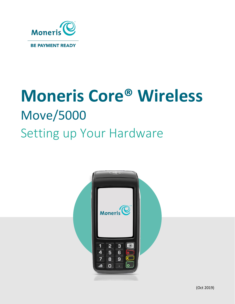

# **Moneris Core® Wireless** Move/5000 Setting up Your Hardware

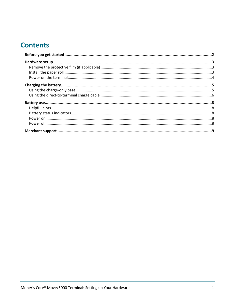# **Contents**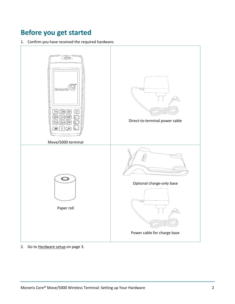# <span id="page-2-0"></span>**Before you get started**

1. Confirm you have received the required hardware.



2. Go to [Hardware setup](#page-3-0) on pag[e 3.](#page-3-0)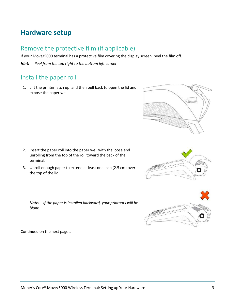# <span id="page-3-0"></span>**Hardware setup**

## <span id="page-3-1"></span>Remove the protective film (if applicable)

If your Move/5000 terminal has a protective film covering the display screen, peel the film off.

<span id="page-3-2"></span>*Hint: Peel from the top right to the bottom left corner.*

#### Install the paper roll

1. Lift the printer latch up, and then pull back to open the lid and expose the paper well.

- 2. Insert the paper roll into the paper well with the loose end unrolling from the top of the roll toward the back of the terminal.
- 3. Unroll enough paper to extend at least one inch (2.5 cm) over the top of the lid.









Continued on the next page…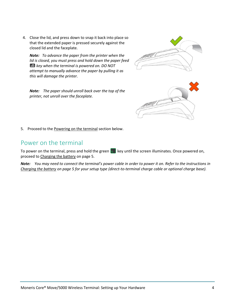4. Close the lid, and press down to snap it back into place so that the extended paper is pressed securely against the closed lid and the faceplate.

*Note: To advance the paper from the printer when the lid is closed, you must press and hold down the paper feed key when the terminal is powered on. DO NOT attempt to manually advance the paper by pulling it as this will damage the printer.*

*Note:**The paper should unroll back over the top of the printer, not unroll over the faceplate.*





<span id="page-4-0"></span>5. Proceed to th[e Powering on the terminal](#page-4-0) section below.

#### Power on the terminal

To power on the terminal, press and hold the green  $\bullet$  key until the screen illuminates. Once powered on, proceed to [Charging the battery](#page-5-0) on page [5.](#page-5-0)

*Note: You may need to connect the terminal's power cable in order to power it on. Refer to the instructions in [Charging the battery](#page-5-0) on page [5](#page-5-0) for your setup type (direct-to-terminal charge cable or optional charge base).*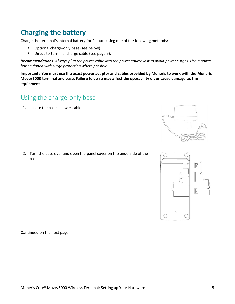# <span id="page-5-0"></span>**Charging the battery**

Charge the terminal's internal battery for 4 hours using one of the following methods:

- **•** Optional charge-only base (see below)
- Direct-to-terminal charge cable (see page [6\)](#page-6-0).

*Recommendations: Always plug the power cable into the power source last to avoid power surges. Use a power bar equipped with surge protection where possible.* 

**Important: You must use the exact power adaptor and cables provided by Moneris to work with the Moneris Move/5000 terminal and base. Failure to do so may affect the operability of, or cause damage to, the equipment.**

#### <span id="page-5-1"></span>Using the charge-only base

1. Locate the base's power cable.



2. Turn the base over and open the panel cover on the underside of the base.



Continued on the next page.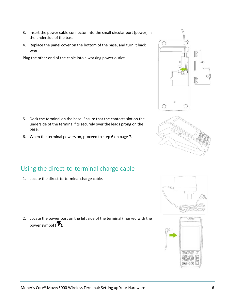- 3. Insert the power cable connector into the small circular port (power) in the underside of the base.
- 4. Replace the panel cover on the bottom of the base, and turn it back over.

Plug the other end of the cable into a working power outlet.

- 5. Dock the terminal on the base. Ensure that the contacts slot on the underside of the terminal fits securely over the leads prong on the base.
- 6. When the terminal powers on, proceed to step 6 on page [7.](#page-7-0)

### <span id="page-6-0"></span>Using the direct-to-terminal charge cable

1. Locate the direct-to-terminal charge cable.

2. Locate the power port on the left side of the terminal (marked with the power symbol  $(\mathcal{F})$ .







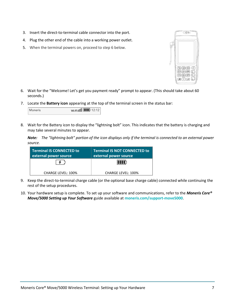- 3. Insert the direct-to-terminal cable connector into the port.
- 4. Plug the other end of the cable into a working power outlet.
- 5. When the terminal powers on, proceed to step 6 below.



- <span id="page-7-0"></span>6. Wait for the "Welcome! Let's get you payment ready" prompt to appear. (This should take about 60 seconds.)
- 7. Locate the **Battery icon** appearing at the top of the terminal screen in the status bar:

| Wi-Fi 00 <b>HIII</b> 12:12<br>Moneris |
|---------------------------------------|
|---------------------------------------|

8. Wait for the Battery icon to display the "lightning bolt" icon. This indicates that the battery is charging and may take several minutes to appear.

*Note: The "lightning bolt" portion of the icon displays only if the terminal is connected to an external power source.*

| Terminal IS CONNECTED to<br>external power source | <b>Terminal IS NOT CONNECTED to</b><br>external power source |
|---------------------------------------------------|--------------------------------------------------------------|
|                                                   |                                                              |
| <b>CHARGE LEVEL: 100%</b>                         | CHARGE LEVEL: 100%                                           |

- 9. Keep the direct-to-terminal charge cable (or the optional base charge cable) connected while continuing the rest of the setup procedures.
- 10. Your hardware setup is complete. To set up your software and communications, refer to the *Moneris Core® Move/5000 Setting up Your Software* guide available at **[moneris.com/support-move5000](http://moneris.com/support-move5000)**.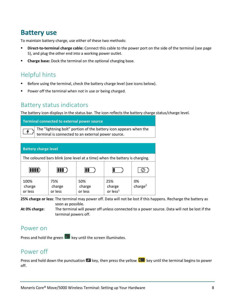# <span id="page-8-0"></span>**Battery use**

To maintain battery charge, use either of these two methods:

- **Direct-to-terminal charge cable:** Connect this cable to the power port on the side of the terminal (see page [5\)](#page-5-0), and plug the other end into a working power outlet.
- **Charge base:** Dock the terminal on the optional charging base.

# <span id="page-8-1"></span>Helpful hints

- Before using the terminal, check the battery charge level (see icons below).
- Power off the terminal when not in use or being charged.

#### <span id="page-8-2"></span>Battery status indicators

The battery icon displays in the status bar. The icon reflects the battery charge status/charge level.

| Terminal connected to external power source |                                                                                                                      |  |  |  |
|---------------------------------------------|----------------------------------------------------------------------------------------------------------------------|--|--|--|
|                                             | The "lightning bolt" portion of the battery icon appears when the terminal is connected to an external power source. |  |  |  |

| <b>Battery charge level</b>                                                 |                          |                          |                                       |                           |  |  |
|-----------------------------------------------------------------------------|--------------------------|--------------------------|---------------------------------------|---------------------------|--|--|
| The coloured bars blink (one level at a time) when the battery is charging. |                          |                          |                                       |                           |  |  |
|                                                                             |                          |                          |                                       |                           |  |  |
| 100%<br>charge<br>or less                                                   | 75%<br>charge<br>or less | 50%<br>charge<br>or less | 25%<br>charge<br>or less <sup>1</sup> | 0%<br>charge <sup>2</sup> |  |  |

**25% charge or less**: The terminal may power off. Data will not be lost if this happens. Recharge the battery as soon as possible.

**At 0% charge**: The terminal will power off unless connected to a power source. Data will not be lost if the terminal powers off.

#### <span id="page-8-3"></span>Power on

<span id="page-8-4"></span>Press and hold the green  $\overline{\bullet}$  key until the screen illuminates.

#### Power off

Press and hold down the punctuation  $\frac{d}{dx}$  key, then press the yellow  $\leq$  key until the terminal begins to power off.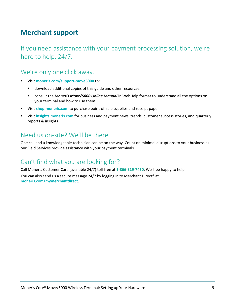# <span id="page-9-0"></span>**Merchant support**

If you need assistance with your payment processing solution, we're here to help, 24/7.

## We're only one click away.

- Visit **[moneris.com/support-move5000](http://moneris.com/support-move5000)** to:
	- **download additional copies of this guide and other resources;**
	- consult the *Moneris Move/5000 Online Manual* in WebHelp format to understand all the options on your terminal and how to use them
- Visit **[shop.moneris.com](https://shop.moneris.com/)** to purchase point-of-sale supplies and receipt paper
- Visit **[insights.moneris.com](https://insights.moneris.com/)** for business and payment news, trends, customer success stories, and quarterly reports & insights

## Need us on-site? We'll be there.

One call and a knowledgeable technician can be on the way. Count on minimal disruptions to your business as our Field Services provide assistance with your payment terminals.

# Can't find what you are looking for?

Call Moneris Customer Care (available 24/7) toll-free at **1-866-319-7450**. We'll be happy to help. You can also send us a secure message 24/7 by logging in to Merchant Direct® at **[moneris.com/mymerchantdirect](https://moneris.com/mymerchantdirect)**.